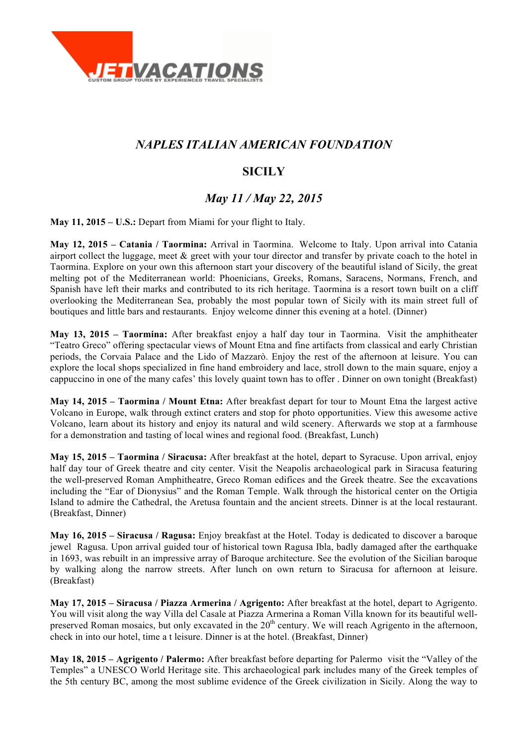

## *NAPLES ITALIAN AMERICAN FOUNDATION*

# **SICILY**

## *May 11 / May 22, 2015*

**May 11, 2015 – U.S.:** Depart from Miami for your flight to Italy.

**May 12, 2015 – Catania / Taormina:** Arrival in Taormina. Welcome to Italy. Upon arrival into Catania airport collect the luggage, meet  $\&$  greet with your tour director and transfer by private coach to the hotel in Taormina. Explore on your own this afternoon start your discovery of the beautiful island of Sicily, the great melting pot of the Mediterranean world: Phoenicians, Greeks, Romans, Saracens, Normans, French, and Spanish have left their marks and contributed to its rich heritage. Taormina is a resort town built on a cliff overlooking the Mediterranean Sea, probably the most popular town of Sicily with its main street full of boutiques and little bars and restaurants. Enjoy welcome dinner this evening at a hotel. (Dinner)

**May 13, 2015 – Taormina:** After breakfast enjoy a half day tour in Taormina. Visit the amphitheater "Teatro Greco" offering spectacular views of Mount Etna and fine artifacts from classical and early Christian periods, the Corvaia Palace and the Lido of Mazzarò. Enjoy the rest of the afternoon at leisure. You can explore the local shops specialized in fine hand embroidery and lace, stroll down to the main square, enjoy a cappuccino in one of the many cafes' this lovely quaint town has to offer . Dinner on own tonight (Breakfast)

**May 14, 2015 – Taormina / Mount Etna:** After breakfast depart for tour to Mount Etna the largest active Volcano in Europe, walk through extinct craters and stop for photo opportunities. View this awesome active Volcano, learn about its history and enjoy its natural and wild scenery. Afterwards we stop at a farmhouse for a demonstration and tasting of local wines and regional food. (Breakfast, Lunch)

**May 15, 2015 – Taormina / Siracusa:** After breakfast at the hotel, depart to Syracuse. Upon arrival, enjoy half day tour of Greek theatre and city center. Visit the Neapolis archaeological park in Siracusa featuring the well-preserved Roman Amphitheatre, Greco Roman edifices and the Greek theatre. See the excavations including the "Ear of Dionysius" and the Roman Temple. Walk through the historical center on the Ortigia Island to admire the Cathedral, the Aretusa fountain and the ancient streets. Dinner is at the local restaurant. (Breakfast, Dinner)

**May 16, 2015 – Siracusa / Ragusa:** Enjoy breakfast at the Hotel. Today is dedicated to discover a baroque jewel Ragusa. Upon arrival guided tour of historical town Ragusa Ibla, badly damaged after the earthquake in 1693, was rebuilt in an impressive array of Baroque architecture. See the evolution of the Sicilian baroque by walking along the narrow streets. After lunch on own return to Siracusa for afternoon at leisure. (Breakfast)

**May 17, 2015 – Siracusa / Piazza Armerina / Agrigento:** After breakfast at the hotel, depart to Agrigento. You will visit along the way Villa del Casale at Piazza Armerina a Roman Villa known for its beautiful wellpreserved Roman mosaics, but only excavated in the  $20<sup>th</sup>$  century. We will reach Agrigento in the afternoon, check in into our hotel, time a t leisure. Dinner is at the hotel. (Breakfast, Dinner)

**May 18, 2015 – Agrigento / Palermo:** After breakfast before departing for Palermo visit the "Valley of the Temples" a UNESCO World Heritage site. This archaeological park includes many of the Greek temples of the 5th century BC, among the most sublime evidence of the Greek civilization in Sicily. Along the way to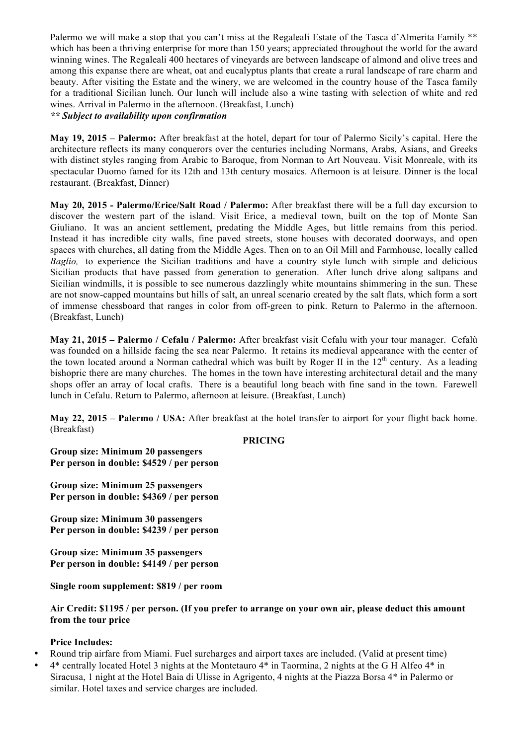Palermo we will make a stop that you can't miss at the Regaleali Estate of the Tasca d'Almerita Family \*\* which has been a thriving enterprise for more than 150 years; appreciated throughout the world for the award winning wines. The Regaleali 400 hectares of vineyards are between landscape of almond and olive trees and among this expanse there are wheat, oat and eucalyptus plants that create a rural landscape of rare charm and beauty. After visiting the Estate and the winery, we are welcomed in the country house of the Tasca family for a traditional Sicilian lunch. Our lunch will include also a wine tasting with selection of white and red wines. Arrival in Palermo in the afternoon. (Breakfast, Lunch)

*\*\* Subject to availability upon confirmation*

**May 19, 2015 – Palermo:** After breakfast at the hotel, depart for tour of Palermo Sicily's capital. Here the architecture reflects its many conquerors over the centuries including Normans, Arabs, Asians, and Greeks with distinct styles ranging from Arabic to Baroque, from Norman to Art Nouveau. Visit Monreale, with its spectacular Duomo famed for its 12th and 13th century mosaics. Afternoon is at leisure. Dinner is the local restaurant. (Breakfast, Dinner)

**May 20, 2015 - Palermo/Erice/Salt Road / Palermo:** After breakfast there will be a full day excursion to discover the western part of the island. Visit Erice, a medieval town, built on the top of Monte San Giuliano. It was an ancient settlement, predating the Middle Ages, but little remains from this period. Instead it has incredible city walls, fine paved streets, stone houses with decorated doorways, and open spaces with churches, all dating from the Middle Ages. Then on to an Oil Mill and Farmhouse, locally called *Baglio,* to experience the Sicilian traditions and have a country style lunch with simple and delicious Sicilian products that have passed from generation to generation. After lunch drive along saltpans and Sicilian windmills, it is possible to see numerous dazzlingly white mountains shimmering in the sun. These are not snow-capped mountains but hills of salt, an unreal scenario created by the salt flats, which form a sort of immense chessboard that ranges in color from off-green to pink. Return to Palermo in the afternoon. (Breakfast, Lunch)

**May 21, 2015 – Palermo / Cefalu / Palermo:** After breakfast visit Cefalu with your tour manager. Cefalù was founded on a hillside facing the sea near Palermo. It retains its medieval appearance with the center of the town located around a Norman cathedral which was built by Roger II in the  $12<sup>th</sup>$  century. As a leading bishopric there are many churches. The homes in the town have interesting architectural detail and the many shops offer an array of local crafts. There is a beautiful long beach with fine sand in the town. Farewell lunch in Cefalu. Return to Palermo, afternoon at leisure. (Breakfast, Lunch)

**May 22, 2015 – Palermo / USA:** After breakfast at the hotel transfer to airport for your flight back home. (Breakfast)

#### **PRICING**

**Group size: Minimum 20 passengers Per person in double: \$4529 / per person**

**Group size: Minimum 25 passengers Per person in double: \$4369 / per person**

**Group size: Minimum 30 passengers Per person in double: \$4239 / per person**

**Group size: Minimum 35 passengers Per person in double: \$4149 / per person**

**Single room supplement: \$819 / per room**

**Air Credit: \$1195 / per person. (If you prefer to arrange on your own air, please deduct this amount from the tour price**

### **Price Includes:**

- Round trip airfare from Miami. Fuel surcharges and airport taxes are included. (Valid at present time)
- 4\* centrally located Hotel 3 nights at the Montetauro 4\* in Taormina, 2 nights at the G H Alfeo 4\* in Siracusa, 1 night at the Hotel Baia di Ulisse in Agrigento, 4 nights at the Piazza Borsa 4\* in Palermo or similar. Hotel taxes and service charges are included.